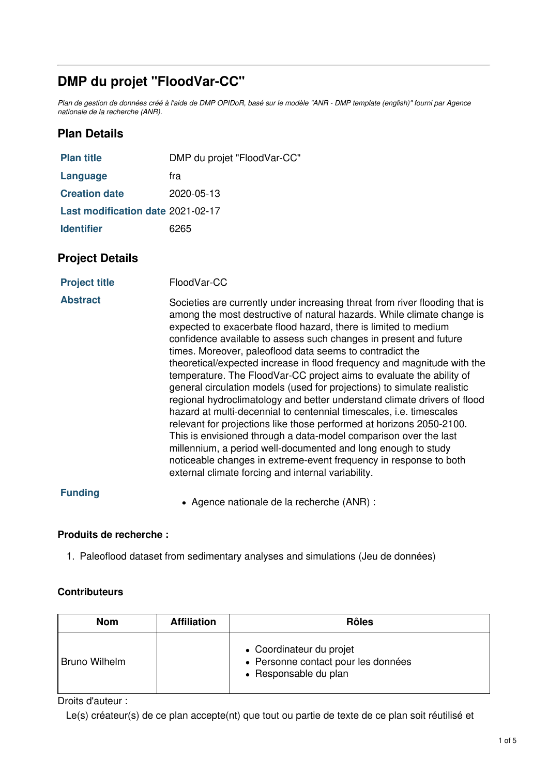# **DMP du projet "FloodVar-CC"**

Plan de gestion de données créé à l'aide de DMP OPIDoR, basé sur le modèle "ANR - DMP template (english)" fourni par Agence *nationale de la recherche (ANR).*

## **Plan Details**

| <b>Plan title</b>                 | DMP du projet "FloodVar-CC" |
|-----------------------------------|-----------------------------|
| Language                          | fra                         |
| <b>Creation date</b>              | 2020-05-13                  |
| Last modification date 2021-02-17 |                             |
| <b>Identifier</b>                 | 6265                        |

## **Project Details**

| <b>Project title</b> | FloodVar-CC |
|----------------------|-------------|
|----------------------|-------------|

Abstract Societies are currently under increasing threat from river flooding that is among the most destructive of natural hazards. While climate change is expected to exacerbate flood hazard, there is limited to medium confidence available to assess such changes in present and future times. Moreover, paleoflood data seems to contradict the theoretical/expected increase in flood frequency and magnitude with the temperature. The FloodVar-CC project aims to evaluate the ability of general circulation models (used for projections) to simulate realistic regional hydroclimatology and better understand climate drivers of flood hazard at multi-decennial to centennial timescales, i.e. timescales relevant for projections like those performed at horizons 2050-2100. This is envisioned through a data-model comparison over the last millennium, a period well-documented and long enough to study noticeable changes in extreme-event frequency in response to both external climate forcing and internal variability.

#### **Funding**

Agence nationale de la recherche (ANR) :

#### **Produits de recherche :**

1. Paleoflood dataset from sedimentary analyses and simulations (Jeu de données)

#### **Contributeurs**

| <b>Nom</b>           | <b>Affiliation</b> | <b>Rôles</b>                                                                             |
|----------------------|--------------------|------------------------------------------------------------------------------------------|
| <b>Bruno Wilhelm</b> |                    | • Coordinateur du projet<br>• Personne contact pour les données<br>• Responsable du plan |

Droits d'auteur :

Le(s) créateur(s) de ce plan accepte(nt) que tout ou partie de texte de ce plan soit réutilisé et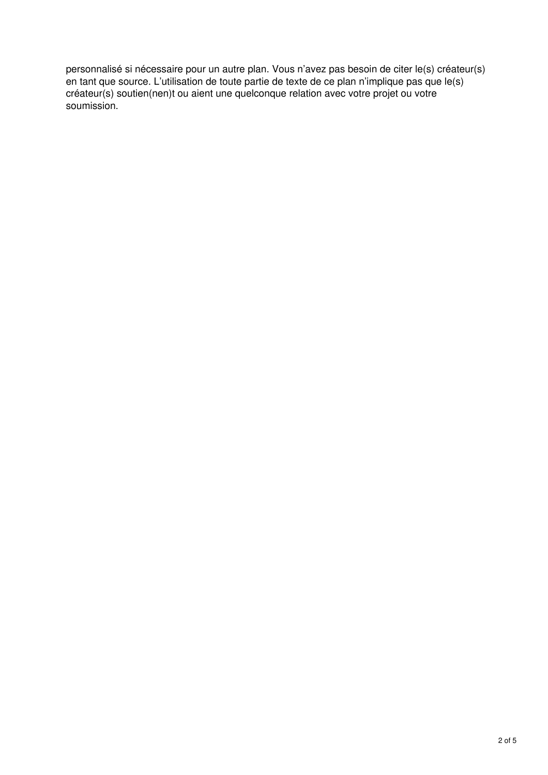personnalisé si nécessaire pour un autre plan. Vous n'avez pas besoin de citer le(s) créateur(s) en tant que source. L'utilisation de toute partie de texte de ce plan n'implique pas que le(s) créateur(s) soutien(nen)t ou aient une quelconque relation avec votre projet ou votre soumission.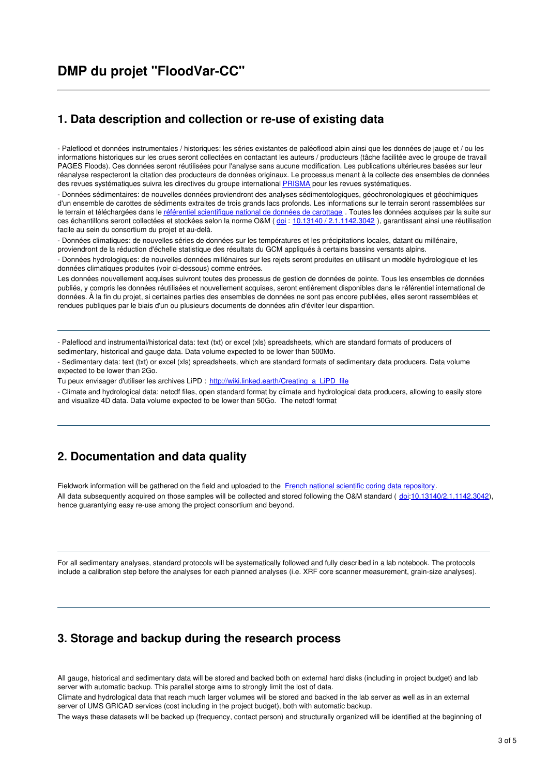#### **1. Data description and collection or re-use of existing data**

- Paleflood et données instrumentales / historiques: les séries existantes de paléoflood alpin ainsi que les données de jauge et / ou les informations historiques sur les crues seront collectées en contactant les auteurs / producteurs (tâche facilitée avec le groupe de travail PAGES Floods). Ces données seront réutilisées pour l'analyse sans aucune modification. Les publications ultérieures basées sur leur réanalyse respecteront la citation des producteurs de données originaux. Le processus menant à la collecte des ensembles de données des revues systématiques suivra les directives du groupe international [PRISMA](http://prisma-statement.org/) pour les revues systématiques.

- Données sédimentaires: de nouvelles données proviendront des analyses sédimentologiques, géochronologiques et géochimiques d'un ensemble de carottes de sédiments extraites de trois grands lacs profonds. Les informations sur le terrain seront rassemblées sur le terrain et téléchargées dans le référentiel [scientifique](https://cybercarotheque.fr/index.php) national de données de carottage. Toutes les données acquises par la suite sur ces échantillons seront collectées et stockées selon la norme O&M ([doi](https://en.wikipedia.org/wiki/Doi_%2528identifier%2529) : 10.13140 / [2.1.1142.3042](https://doi.org/10.13140%252F2.1.1142.3042)), garantissant ainsi une réutilisation facile au sein du consortium du projet et au-delà.

- Données climatiques: de nouvelles séries de données sur les températures et les précipitations locales, datant du millénaire, proviendront de la réduction d'échelle statistique des résultats du GCM appliqués à certains bassins versants alpins.

- Données hydrologiques: de nouvelles données millénaires sur les rejets seront produites en utilisant un modèle hydrologique et les données climatiques produites (voir ci-dessous) comme entrées.

Les données nouvellement acquises suivront toutes des processus de gestion de données de pointe. Tous les ensembles de données publiés, y compris les données réutilisées et nouvellement acquises, seront entièrement disponibles dans le référentiel international de données. À la fin du projet, si certaines parties des ensembles de données ne sont pas encore publiées, elles seront rassemblées et rendues publiques par le biais d'un ou plusieurs documents de données afin d'éviter leur disparition.

- Paleflood and instrumental/historical data: text (txt) or excel (xls) spreadsheets, which are standard formats of producers of sedimentary, historical and gauge data. Data volume expected to be lower than 500Mo.

- Sedimentary data: text (txt) or excel (xls) spreadsheets, which are standard formats of sedimentary data producers. Data volume expected to be lower than 2Go.

Tu peux envisager d'utiliser les archives LiPD : [http://wiki.linked.earth/Creating\\_a\\_LiPD\\_file](http://wiki.linked.earth/Creating_a_LiPD_file)

- Climate and hydrological data: netcdf files, open standard format by climate and hydrological data producers, allowing to easily store and visualize 4D data. Data volume expected to be lower than 50Go. The netcdf format

## **2. Documentation and data quality**

Fieldwork information will be gathered on the field and uploaded to the French national scientific coring data [repository](https://cybercarotheque.fr/index.php). All data subsequently acquired on those samples will be collected and stored following the O&M standard ( [doi](https://en.wikipedia.org/wiki/Doi_%2528identifier%2529)[:10.13140/2.1.1142.3042](https://doi.org/10.13140%252F2.1.1142.3042)), hence guarantying easy re-use among the project consortium and beyond.

For all sedimentary analyses, standard protocols will be systematically followed and fully described in a lab notebook. The protocols include a calibration step before the analyses for each planned analyses (i.e. XRF core scanner measurement, grain-size analyses).

#### **3. Storage and backup during the research process**

All gauge, historical and sedimentary data will be stored and backed both on external hard disks (including in project budget) and lab server with automatic backup. This parallel storge aims to strongly limit the lost of data.

Climate and hydrological data that reach much larger volumes will be stored and backed in the lab server as well as in an external server of UMS GRICAD services (cost including in the project budget), both with automatic backup.

The ways these datasets will be backed up (frequency, contact person) and structurally organized will be identified at the beginning of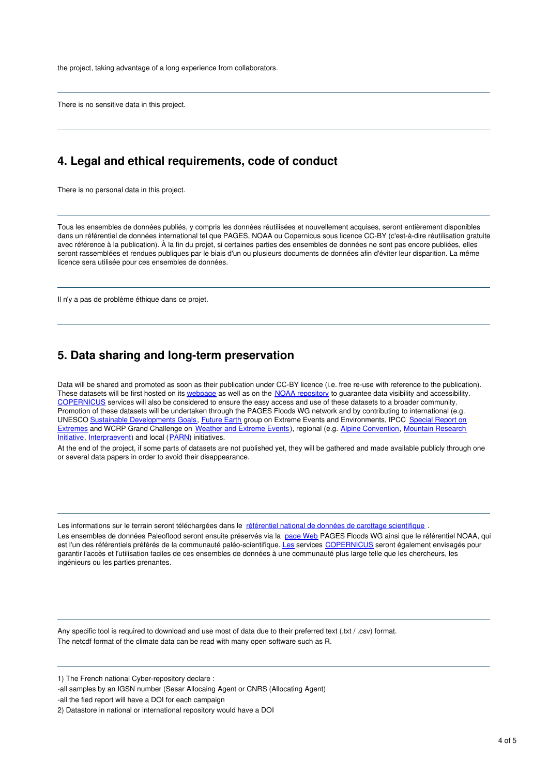the project, taking advantage of a long experience from collaborators.

There is no sensitive data in this project.

#### **4. Legal and ethical requirements, code of conduct**

There is no personal data in this project.

Tous les ensembles de données publiés, y compris les données réutilisées et nouvellement acquises, seront entièrement disponibles dans un référentiel de données international tel que PAGES, NOAA ou Copernicus sous licence CC-BY (c'est-à-dire réutilisation gratuite avec référence à la publication). À la fin du projet, si certaines parties des ensembles de données ne sont pas encore publiées, elles seront rassemblées et rendues publiques par le biais d'un ou plusieurs documents de données afin d'éviter leur disparition. La même licence sera utilisée pour ces ensembles de données.

Il n'y a pas de problème éthique dans ce projet.

#### **5. Data sharing and long-term preservation**

Data will be shared and promoted as soon as their publication under CC-BY licence (i.e. free re-use with reference to the publication). These datasets will be first hosted on its [webpage](http://pastglobalchanges.org/ini/wg/floods/wp1/data) as well as on the NOAA [repository](https://repository.library.noaa.gov/) to guarantee data visibility and accessibility. [COPERNICUS](https://climate.copernicus.eu/) services will also be considered to ensure the easy access and use of these datasets to a broader community. Promotion of these datasets will be undertaken through the PAGES Floods WG network and by contributing to international (e.g. UNESCO Sustainable [Developments](https://fr.unesco.org/sdgs) Goals, [Future](http://www.futureearth.org/extreme-events-and-environments-climate-society-e3s) Earth group on Extreme Events and [Environments,](https://www.ipcc.ch/report/managing-the-risks-of-extreme-events-and-disasters-to-advance-climate-change-adaptation/) IPCC Special Report on Extremes and WCRP Grand Challenge on [Weather](https://www.wcrp-climate.org/gc-extreme-events) and Extreme Events), regional (e.g. Alpine [Convention](http://www.alpconv.org/en/convention/default.html?AspxAutoDetectCookieSupport=1), Mountain Research Initiative, [Interpraevent\)](http://www.mountainresearchinitiative.org/en/) and local ([PARN](http://risknat.org/)) initiatives.

At the end of the project, if some parts of datasets are not published yet, they will be gathered and made available publicly through one or several data papers in order to avoid their disappearance.

Les informations sur le terrain seront téléchargées dans le référentiel national de données de carottage [scientifique](https://cybercarotheque.fr/index.php) Les ensembles de données Paleoflood seront ensuite préservés via la [page](http://pastglobalchanges.org/ini/wg/floods/wp1/data) Web PAGES Floods WG ainsi que le référentiel NOAA, qui est l'un des référentiels préférés de la communauté paléo-scientifique. [Les](https://climate.copernicus.eu/) services [COPERNICUS](https://climate.copernicus.eu/) seront également envisagés pour garantir l'accès et l'utilisation faciles de ces ensembles de données à une communauté plus large telle que les chercheurs, les ingénieurs ou les parties prenantes.

Any specific tool is required to download and use most of data due to their preferred text (.txt / .csv) format. The netcdf format of the climate data can be read with many open software such as R.

1) The French national Cyber-repository declare :

-all the fied report will have a DOI for each campaign

<sup>-</sup>all samples by an IGSN number (Sesar Allocaing Agent or CNRS (Allocating Agent)

<sup>2)</sup> Datastore in national or international repository would have a DOI